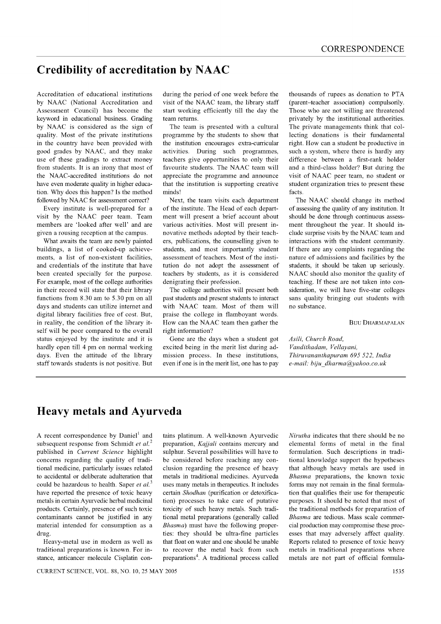# **Credibility of accreditation by NAAC**

Accreditation of educational institutions by NAAC (National Accreditation and Assessment Council) has become the keyword in educational business. Grading by NAAC is considered as the sign of quality. Most of the private institutions in the country have been provided with good grades by NAAC, and they make use of these gradings to extract money from students. It is an irony that most of the NAAC-accredited institutions do not have even moderate quality in higher education. Why does this happen? Is the method followed by NAAC for assessment correct?

Every institute is well-prepared for a visit by the NAAC peer team. Team members are 'looked after well' and are given a rousing reception at the campus.

What awaits the team are newly painted buildings, a list of cooked-up achievements, a list of non-existent facilities, and credentials of the institute that have been created specially for the purpose. For example, most of the college authorities in their record will state that their library functions from 8.30 am to 5.30 pm on all days and students can utilize internet and digital library facilities free of cost. But, in reality, the condition of the library itself will be poor compared to the overall status enjoyed by the institute and it is hardly open till 4 pm on normal working days. Even the attitude of the library staff towards students is not positive. But during the period of one week before the visit of the NAAC team, the library staff start working efficiently till the day the team returns.

The team is presented with a cultural programme by the students to show that the institution encourages extra-curricular activities. During such programmes, teachers give opportunities to only their favourite students. The NAAC team will appreciate the programme and announce that the institution is supporting creative minds!

Next, the team visits each department of the institute. The Head of each department will present a brief account about various activities. Most will present innovative methods adopted by their teachers, publications, the counselling given to students, and most importantly student assessment of teachers. Most of the institution do not adopt the assessment of teachers by students, as it is considered denigrating their profession.

The college authorities will present both past students and present students to interact with NAAC team. Most of them will praise the college in flamboyant words. How can the NAAC team then gather the right information?

Gone are the days when a student got excited being in the merit list during admission process. **In** these institutions, even if one is in the merit list, one has to pay

tains platinum. A well-known Ayurvedic preparation, *Kajjali* contains mercury and sulphur. Several possibilities will have to be considered before reaching any conclusion regarding the presence of heavy metals in traditional medicines. Ayurveda uses many metals in therapeutics. It includes certain *Shodhan* (purification or detoxification) processes to take care of putative toxicity of such heavy metals. Such tradithousands of rupees as donation to PTA (parent-teacher association) compulsorily. Those who are not willing are threatened privately by the institutional authorities. The private managements think that collecting donations is their fundamental right. How can a student be productive in such a system, where there is hardly any difference between a first-rank holder and a third-class holder? But during the visit of NAAC peer team, no student or student organization tries to present these facts.

The NAAC should change its method of assessing the quality of any institution. It should be done through continuous assessment throughout the year. It should include surprise visits by the NAAC team and interactions with the student community. If there are any complaints regarding the nature of admissions and facilities by the students, it should be taken up seriously. NAAC should also monitor the quality of teaching. If these are not taken into consideration, we will have five-star colleges sans quality bringing out students with no substance.

**BIJU DHARMAPALAN** 

*Asili, Church Road, Vandithadam, Vellayani, Thiruvananthapuram* 695522, *India e-mail: biju\_dharma@yahoo.co.uk* 

### **Heavy metals and Ayurveda**

A recent correspondence by Daniel<sup>1</sup> and subsequent response from Schmidt *et al.*<sup>2</sup> published in *Current Science* highlight concerns regarding the quality of traditional medicine, particularly issues related to accidental or deliberate adulteration that could be hazardous to health. Saper *et al. <sup>3</sup>* have reported the presence of toxic heavy metals in certain Ayurvedic herbal medicinal products. Certainly, presence of such toxic contaminants cannot be justified in any material intended for consumption as a drug.

Heavy-metal use in modern as well as traditional preparations is known. For instance, anticancer molecule Cisplatin con-

tional metal preparations (generally called *Bhasma)* must have the following properties: they should be ultra-fine particles that float on water and one should be unable to recover the metal back from such preparations<sup>4</sup>. A traditional process called *Nirutha* indicates that there should be no elemental forms of metal in the final formulation. Such descriptions in traditional knowledge support the hypotheses that although heavy metals are used in *Bhasma* preparations, the known toxic forms may not remain in the final formulation that qualifies their use for therapeutic purposes. It should be noted that most of the traditional methods for preparation of *Bhasma* are tedious. Mass scale commercial production may compromise these processes that may adversely affect quality. Reports related to presence of toxic heavy metals in traditional preparations where metals are not part of official formula-